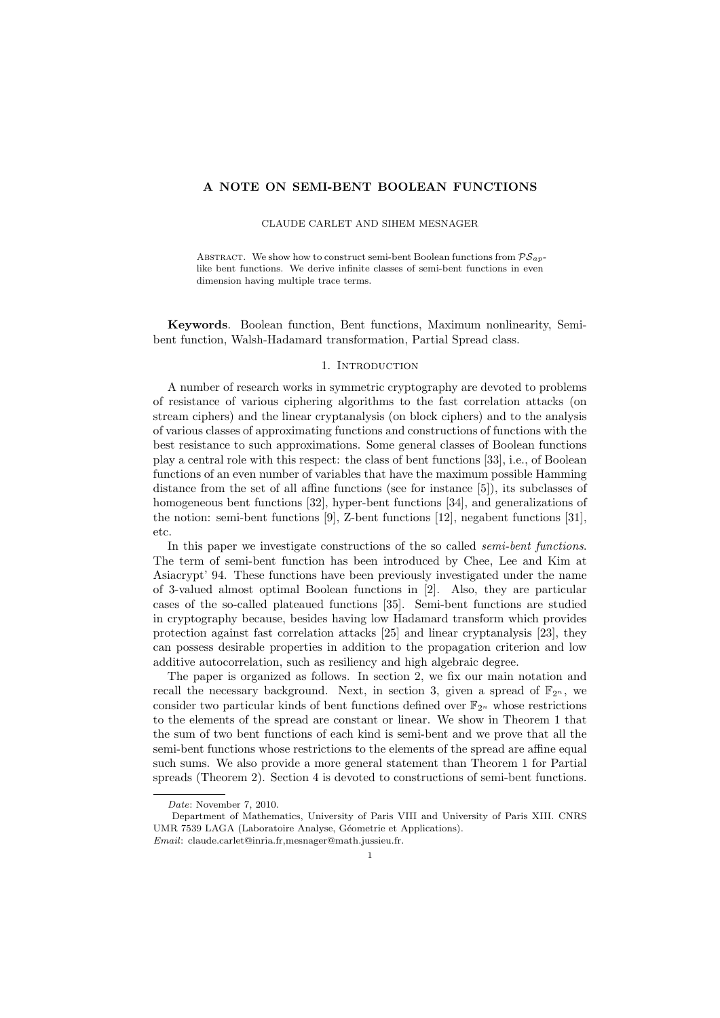## A NOTE ON SEMI-BENT BOOLEAN FUNCTIONS

CLAUDE CARLET AND SIHEM MESNAGER

ABSTRACT. We show how to construct semi-bent Boolean functions from  $\mathcal{PS}_{ap}$ like bent functions. We derive infinite classes of semi-bent functions in even dimension having multiple trace terms.

Keywords. Boolean function, Bent functions, Maximum nonlinearity, Semibent function, Walsh-Hadamard transformation, Partial Spread class.

## 1. INTRODUCTION

A number of research works in symmetric cryptography are devoted to problems of resistance of various ciphering algorithms to the fast correlation attacks (on stream ciphers) and the linear cryptanalysis (on block ciphers) and to the analysis of various classes of approximating functions and constructions of functions with the best resistance to such approximations. Some general classes of Boolean functions play a central role with this respect: the class of bent functions [33], i.e., of Boolean functions of an even number of variables that have the maximum possible Hamming distance from the set of all affine functions (see for instance [5]), its subclasses of homogeneous bent functions [32], hyper-bent functions [34], and generalizations of the notion: semi-bent functions [9], Z-bent functions [12], negabent functions [31], etc.

In this paper we investigate constructions of the so called semi-bent functions. The term of semi-bent function has been introduced by Chee, Lee and Kim at Asiacrypt' 94. These functions have been previously investigated under the name of 3-valued almost optimal Boolean functions in [2]. Also, they are particular cases of the so-called plateaued functions [35]. Semi-bent functions are studied in cryptography because, besides having low Hadamard transform which provides protection against fast correlation attacks [25] and linear cryptanalysis [23], they can possess desirable properties in addition to the propagation criterion and low additive autocorrelation, such as resiliency and high algebraic degree.

The paper is organized as follows. In section 2, we fix our main notation and recall the necessary background. Next, in section 3, given a spread of  $\mathbb{F}_{2^n}$ , we consider two particular kinds of bent functions defined over  $\mathbb{F}_{2^n}$  whose restrictions to the elements of the spread are constant or linear. We show in Theorem 1 that the sum of two bent functions of each kind is semi-bent and we prove that all the semi-bent functions whose restrictions to the elements of the spread are affine equal such sums. We also provide a more general statement than Theorem 1 for Partial spreads (Theorem 2). Section 4 is devoted to constructions of semi-bent functions.

Date: November 7, 2010.

Department of Mathematics, University of Paris VIII and University of Paris XIII. CNRS UMR 7539 LAGA (Laboratoire Analyse, Géometrie et Applications). Email: claude.carlet@inria.fr,mesnager@math.jussieu.fr.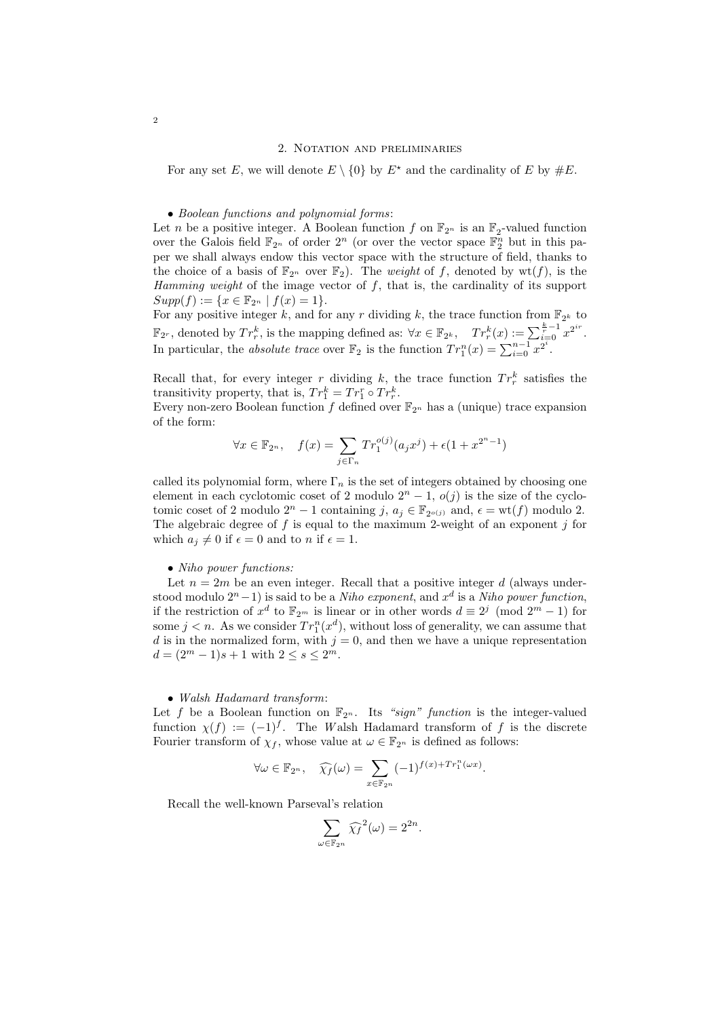For any set E, we will denote  $E \setminus \{0\}$  by  $E^*$  and the cardinality of E by  $\#E$ .

• Boolean functions and polynomial forms:

Let *n* be a positive integer. A Boolean function f on  $\mathbb{F}_{2^n}$  is an  $\mathbb{F}_2$ -valued function over the Galois field  $\mathbb{F}_{2^n}$  of order  $2^n$  (or over the vector space  $\mathbb{F}_2^n$  but in this paper we shall always endow this vector space with the structure of field, thanks to the choice of a basis of  $\mathbb{F}_{2^n}$  over  $\mathbb{F}_2$ ). The *weight* of f, denoted by wt(f), is the Hamming weight of the image vector of  $f$ , that is, the cardinality of its support  $Supp(f) := \{x \in \mathbb{F}_{2^n} \mid f(x) = 1\}.$ 

For any positive integer k, and for any r dividing k, the trace function from  $\mathbb{F}_{2^k}$  to  $\mathbb{F}_{2^r}$ , denoted by  $Tr_r^k$ , is the mapping defined as:  $\forall x \in \mathbb{F}_{2^k}$ ,  $Tr_r^k(x) := \sum_{i=0}^{\frac{k}{r}-1} x^{2^{ir}}$ . In particular, the absolute trace over  $\mathbb{F}_2$  is the function  $Tr_1^n(x) = \sum_{i=0}^{n-1} x^{2^i}$ .

Recall that, for every integer r dividing k, the trace function  $Tr_r^k$  satisfies the transitivity property, that is,  $Tr_1^k = Tr_1^r \circ Tr_r^k$ .

Every non-zero Boolean function f defined over  $\mathbb{F}_{2^n}$  has a (unique) trace expansion of the form:

$$
\forall x \in \mathbb{F}_{2^n}, \quad f(x) = \sum_{j \in \Gamma_n} Tr_1^{o(j)}(a_j x^j) + \epsilon (1 + x^{2^n - 1})
$$

called its polynomial form, where  $\Gamma_n$  is the set of integers obtained by choosing one element in each cyclotomic coset of 2 modulo  $2<sup>n</sup> - 1$ ,  $o(j)$  is the size of the cyclotomic coset of 2 modulo  $2^n - 1$  containing j,  $a_j \in \mathbb{F}_{2^{o(j)}}$  and,  $\epsilon = \text{wt}(f)$  modulo 2. The algebraic degree of f is equal to the maximum 2-weight of an exponent j for which  $a_j \neq 0$  if  $\epsilon = 0$  and to n if  $\epsilon = 1$ .

### • Niho power functions:

Let  $n = 2m$  be an even integer. Recall that a positive integer d (always understood modulo  $2^{n}-1$ ) is said to be a *Niho exponent*, and  $x^{d}$  is a *Niho power function*, if the restriction of  $x^d$  to  $\mathbb{F}_{2^m}$  is linear or in other words  $d \equiv 2^j \pmod{2^m - 1}$  for some  $j < n$ . As we consider  $Tr_1^n(x^d)$ , without loss of generality, we can assume that d is in the normalized form, with  $j = 0$ , and then we have a unique representation  $d = (2^m - 1)s + 1$  with  $2 \leq s \leq 2^m$ .

### • Walsh Hadamard transform:

Let f be a Boolean function on  $\mathbb{F}_{2^n}$ . Its "sign" function is the integer-valued function  $\chi(f) := (-1)^f$ . The Walsh Hadamard transform of f is the discrete Fourier transform of  $\chi_f$ , whose value at  $\omega \in \mathbb{F}_{2^n}$  is defined as follows:

$$
\forall \omega \in \mathbb{F}_{2^n}, \quad \widehat{\chi_f}(\omega) = \sum_{x \in \mathbb{F}_{2^n}} (-1)^{f(x) + Tr_1^n(\omega x)}.
$$

Recall the well-known Parseval's relation

$$
\sum_{\omega \in \mathbb{F}_{2^n}} \widehat{\chi_f}^2(\omega) = 2^{2n}.
$$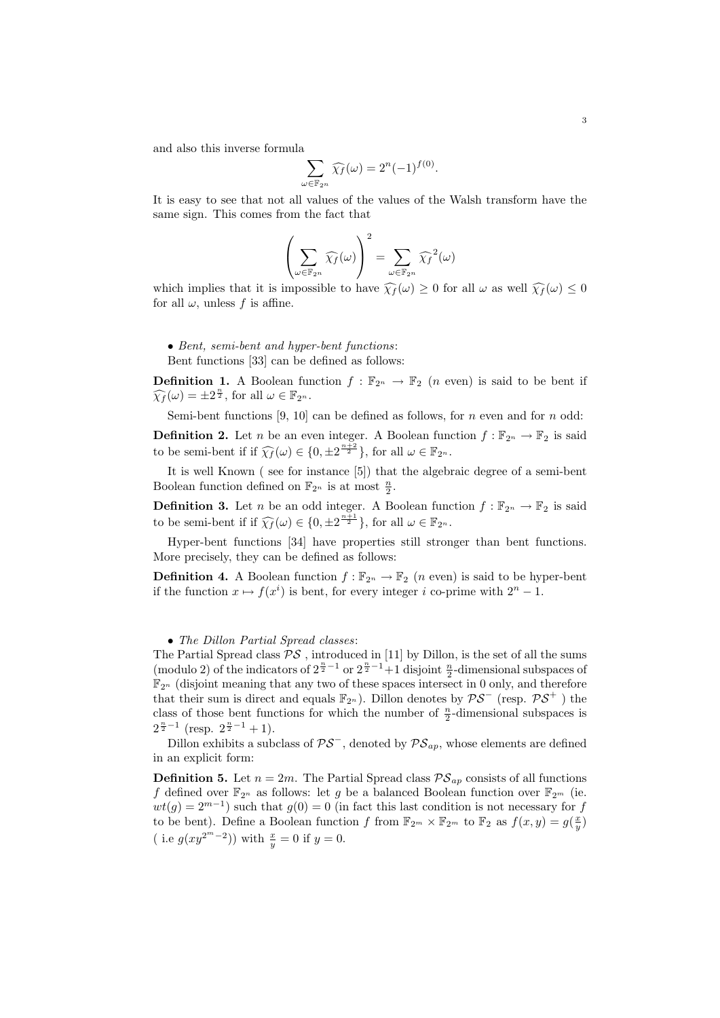and also this inverse formula

$$
\sum_{\omega \in \mathbb{F}_{2^n}} \widehat{\chi_f}(\omega) = 2^n (-1)^{f(0)}.
$$

It is easy to see that not all values of the values of the Walsh transform have the same sign. This comes from the fact that

$$
\left(\sum_{\omega \in \mathbb{F}_{2^n}} \widehat{\chi_f}(\omega)\right)^2 = \sum_{\omega \in \mathbb{F}_{2^n}} \widehat{\chi_f}^2(\omega)
$$

which implies that it is impossible to have  $\widehat{\chi}_f(\omega) > 0$  for all  $\omega$  as well  $\widehat{\chi}_f(\omega) \leq 0$ for all  $\omega$ , unless f is affine.

# • Bent, semi-bent and hyper-bent functions:

Bent functions [33] can be defined as follows:

**Definition 1.** A Boolean function  $f : \mathbb{F}_{2^n} \to \mathbb{F}_2$  (*n* even) is said to be bent if  $\widehat{\chi_f}(\omega) = \pm 2^{\frac{n}{2}}, \text{ for all } \omega \in \mathbb{F}_{2^n}.$ 

Semi-bent functions [9, 10] can be defined as follows, for  $n$  even and for  $n$  odd:

**Definition 2.** Let n be an even integer. A Boolean function  $f : \mathbb{F}_{2^n} \to \mathbb{F}_2$  is said to be semi-bent if if  $\widehat{\chi_f}(\omega) \in \{0, \pm 2^{\frac{n+2}{2}}\},\$  for all  $\omega \in \mathbb{F}_{2^n}$ .

It is well Known ( see for instance [5]) that the algebraic degree of a semi-bent Boolean function defined on  $\mathbb{F}_{2^n}$  is at most  $\frac{n}{2}$ .

**Definition 3.** Let n be an odd integer. A Boolean function  $f : \mathbb{F}_{2^n} \to \mathbb{F}_2$  is said to be semi-bent if if  $\widehat{\chi_f}(\omega) \in \{0, \pm 2^{\frac{n+1}{2}}\},\$  for all  $\omega \in \mathbb{F}_{2^n}$ .

Hyper-bent functions [34] have properties still stronger than bent functions. More precisely, they can be defined as follows:

**Definition 4.** A Boolean function  $f : \mathbb{F}_{2^n} \to \mathbb{F}_2$  (*n* even) is said to be hyper-bent if the function  $x \mapsto f(x^i)$  is bent, for every integer i co-prime with  $2^n - 1$ .

## • The Dillon Partial Spread classes:

The Partial Spread class  $\mathcal{PS}$ , introduced in [11] by Dillon, is the set of all the sums (modulo 2) of the indicators of  $2^{\frac{n}{2}-1}$  or  $2^{\frac{n}{2}-1}+1$  disjoint  $\frac{n}{2}$ -dimensional subspaces of  $\mathbb{F}_{2^n}$  (disjoint meaning that any two of these spaces intersect in 0 only, and therefore that their sum is direct and equals  $\mathbb{F}_{2^n}$ ). Dillon denotes by  $\mathcal{PS}^-$  (resp.  $\mathcal{PS}^+$ ) the class of those bent functions for which the number of  $\frac{n}{2}$ -dimensional subspaces is  $2^{\frac{n}{2}-1}$  (resp.  $2^{\frac{n}{2}-1}+1$ ).

Dillon exhibits a subclass of  $\mathcal{PS}^-$ , denoted by  $\mathcal{PS}_{ap}$ , whose elements are defined in an explicit form:

**Definition 5.** Let  $n = 2m$ . The Partial Spread class  $\mathcal{PS}_{ap}$  consists of all functions f defined over  $\mathbb{F}_{2^n}$  as follows: let g be a balanced Boolean function over  $\mathbb{F}_{2^m}$  (ie.  $wt(g) = 2^{m-1}$ ) such that  $g(0) = 0$  (in fact this last condition is not necessary for f to be bent). Define a Boolean function f from  $\mathbb{F}_{2^m} \times \mathbb{F}_{2^m}$  to  $\mathbb{F}_2$  as  $f(x, y) = g(\frac{x}{y})$ ( i.e  $g(xy^{2^m-2})$ ) with  $\frac{x}{y} = 0$  if  $y = 0$ .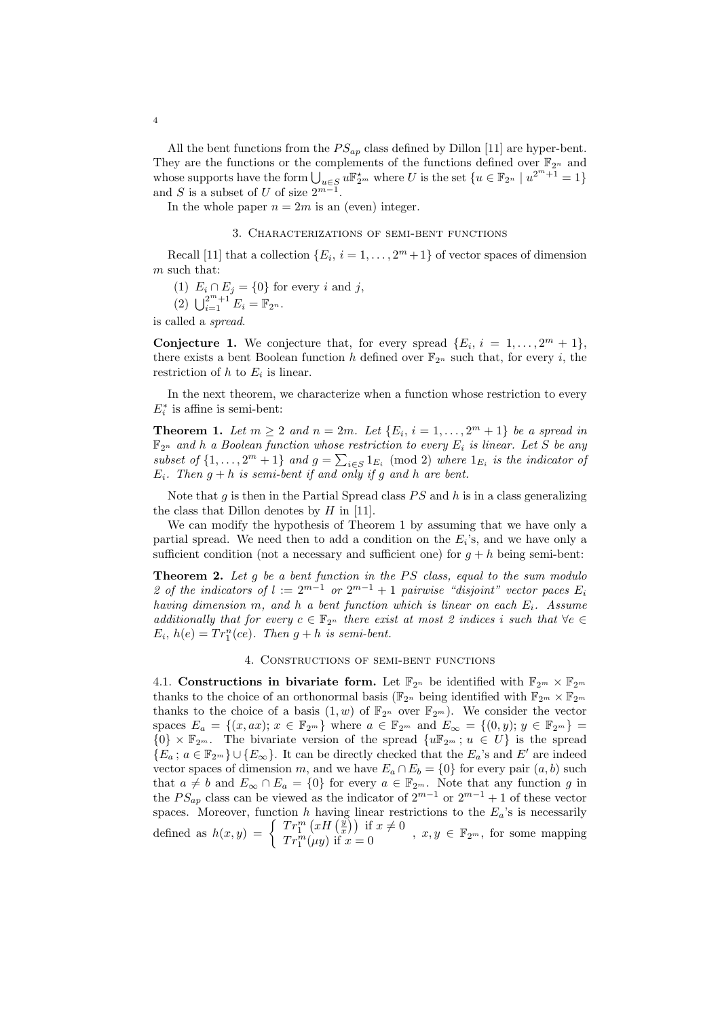All the bent functions from the  $PS_{ap}$  class defined by Dillon [11] are hyper-bent. They are the functions or the complements of the functions defined over  $\mathbb{F}_{2^n}$  and whose supports have the form  $\bigcup_{u \in S} u \mathbb{F}_{2^m}^{\star}$  where U is the set  $\{u \in \mathbb{F}_{2^n} \mid u^{2^m+1} = 1\}$ and S is a subset of U of size  $2^{m-1}$ .

In the whole paper  $n = 2m$  is an (even) integer.

### 3. Characterizations of semi-bent functions

Recall [11] that a collection  $\{E_i, i = 1, \ldots, 2^m + 1\}$  of vector spaces of dimension  $m$  such that:

(1) 
$$
E_i \cap E_j = \{0\}
$$
 for every  $i$  and  $j$ ,

$$
(2) \ \bigcup_{i=1}^{2^m+1} E_i = \mathbb{F}_{2^n}.
$$

is called a spread.

**Conjecture 1.** We conjecture that, for every spread  $\{E_i, i = 1, \ldots, 2^m + 1\}$ , there exists a bent Boolean function h defined over  $\mathbb{F}_{2^n}$  such that, for every i, the restriction of  $h$  to  $E_i$  is linear.

In the next theorem, we characterize when a function whose restriction to every  $E_i^*$  is affine is semi-bent:

**Theorem 1.** Let  $m \geq 2$  and  $n = 2m$ . Let  $\{E_i, i = 1, ..., 2^m + 1\}$  be a spread in  $\mathbb{F}_{2^n}$  and h a Boolean function whose restriction to every  $E_i$  is linear. Let S be any subset of  $\{1,\ldots,2^m+1\}$  and  $g=\sum_{i\in S}1_{E_i} \pmod{2}$  where  $1_{E_i}$  is the indicator of  $E_i$ . Then  $q + h$  is semi-bent if and only if q and h are bent.

Note that  $g$  is then in the Partial Spread class  $PS$  and  $h$  is in a class generalizing the class that Dillon denotes by  $H$  in [11].

We can modify the hypothesis of Theorem 1 by assuming that we have only a partial spread. We need then to add a condition on the  $E_i$ 's, and we have only a sufficient condition (not a necessary and sufficient one) for  $g + h$  being semi-bent:

**Theorem 2.** Let g be a bent function in the  $PS$  class, equal to the sum modulo 2 of the indicators of  $l := 2^{m-1}$  or  $2^{m-1} + 1$  pairwise "disjoint" vector paces  $E_i$ having dimension m, and h a bent function which is linear on each  $E_i$ . Assume additionally that for every  $c \in \mathbb{F}_{2^n}$  there exist at most 2 indices i such that  $\forall e \in$  $E_i$ ,  $h(e) = Tr_1^n(ce)$ . Then  $g + h$  is semi-bent.

## 4. Constructions of semi-bent functions

4.1. Constructions in bivariate form. Let  $\mathbb{F}_{2^n}$  be identified with  $\mathbb{F}_{2^m} \times \mathbb{F}_{2^m}$ thanks to the choice of an orthonormal basis ( $\mathbb{F}_{2^n}$  being identified with  $\mathbb{F}_{2^m} \times \mathbb{F}_{2^m}$ thanks to the choice of a basis  $(1, w)$  of  $\mathbb{F}_{2^n}$  over  $\mathbb{F}_{2^m}$ ). We consider the vector spaces  $E_a = \{(x, ax); x \in \mathbb{F}_{2^m}\}\$  where  $a \in \mathbb{F}_{2^m}$  and  $E_{\infty} = \{(0, y); y \in \mathbb{F}_{2^m}\}\$  ${0} \times \mathbb{F}_{2^m}$ . The bivariate version of the spread  ${u\mathbb{F}_{2^m}}; u \in U}$  is the spread  ${E_a : a \in \mathbb{F}_{2^m} \} \cup {E_{\infty}}.$  It can be directly checked that the  $E_a$ 's and E' are indeed vector spaces of dimension m, and we have  $E_a \cap E_b = \{0\}$  for every pair  $(a, b)$  such that  $a \neq b$  and  $E_{\infty} \cap E_a = \{0\}$  for every  $a \in \mathbb{F}_{2^m}$ . Note that any function g in the  $PS_{ap}$  class can be viewed as the indicator of  $2^{m-1}$  or  $2^{m-1}+1$  of these vector spaces. Moreover, function h having linear restrictions to the  $E_a$ 's is necessarily defined as  $h(x,y) = \begin{cases} Tr_1^m (xH(\frac{y}{x})) & \text{if } x \neq 0 \\ Tr_1^m (\ldots) & \text{if } x = 0 \end{cases}$  $Tr_1^m(xH(\frac{x}{x}))$  if  $x \neq 0$ ,  $x, y \in \mathbb{F}_{2^m}$ , for some mapping  $Tr_1^m(\mu y)$  if  $x = 0$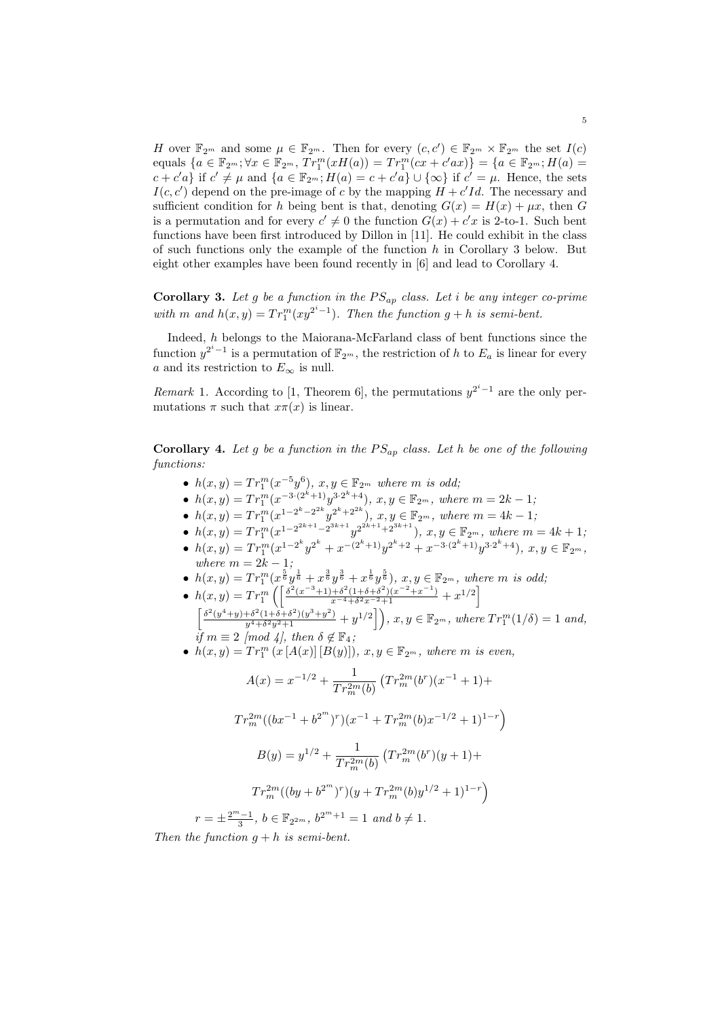H over  $\mathbb{F}_{2^m}$  and some  $\mu \in \mathbb{F}_{2^m}$ . Then for every  $(c, c') \in \mathbb{F}_{2^m} \times \mathbb{F}_{2^m}$  the set  $I(c)$ equals  $\{a \in \mathbb{F}_{2^m}; \forall x \in \mathbb{F}_{2^m}, Tr_1^m(xH(a)) = Tr_1^m(cx + c'ax)\} = \{a \in \mathbb{F}_{2^m}; H(a) =$  $c + c'a$  if  $c' \neq \mu$  and  $\{a \in \mathbb{F}_{2^m}; H(a) = c + c'a\} \cup \{\infty\}$  if  $c' = \mu$ . Hence, the sets  $I(c, c')$  depend on the pre-image of c by the mapping  $H + c'Id$ . The necessary and sufficient condition for h being bent is that, denoting  $G(x) = H(x) + \mu x$ , then G is a permutation and for every  $c' \neq 0$  the function  $G(x) + c'x$  is 2-to-1. Such bent functions have been first introduced by Dillon in [11]. He could exhibit in the class of such functions only the example of the function  $h$  in Corollary 3 below. But eight other examples have been found recently in [6] and lead to Corollary 4.

Corollary 3. Let g be a function in the  $PS_{ap}$  class. Let i be any integer co-prime with m and  $h(x,y) = Tr_1^m(xy^{2^i-1})$ . Then the function  $g + h$  is semi-bent.

Indeed, h belongs to the Maiorana-McFarland class of bent functions since the function  $y^{2^i-1}$  is a permutation of  $\mathbb{F}_{2^m}$ , the restriction of h to  $E_a$  is linear for every a and its restriction to  $E_{\infty}$  is null.

*Remark* 1. According to [1, Theorem 6], the permutations  $y^{2^i-1}$  are the only permutations  $\pi$  such that  $x\pi(x)$  is linear.

**Corollary 4.** Let g be a function in the  $PS_{ap}$  class. Let h be one of the following functions:

- $h(x,y) = Tr_1^m(x^{-5}y^6), x, y \in \mathbb{F}_{2^m}$  where m is odd;
- $h(x,y) = Tr_1^m(x^{-3\cdot(2^k+1)}y^{3\cdot2^k+4}), x, y \in \mathbb{F}_{2^m}, \text{ where } m = 2k 1,$
- $h(x,y) = Tr_1^m(x^{1-2^k-2^{2k}}y^{2^k+2^{2k}}), x, y \in \mathbb{F}_{2^m}, \text{ where } m = 4k 1;$
- $h(x,y) = Tr_1^m(x^{1-2^{2k+1}-2^{3k+1}}y^{2^{2k+1}+2^{3k+1}}), x, y \in \mathbb{F}_{2^m}, \text{ where } m = 4k+1;$ •  $h(x,y) = Tr_1^m(x^{1-2^k}y^{2^k} + x^{-(2^k+1)}y^{2^k+2} + x^{-3\cdot(2^k+1)}y^{3\cdot2^k+4}), x, y \in \mathbb{F}_{2^m},$
- where  $m = 2k 1$ ; •  $h(x,y) = Tr_1^m(x^{\frac{5}{6}}y^{\frac{1}{6}} + x^{\frac{3}{6}}y^{\frac{3}{6}} + x^{\frac{1}{6}}y^{\frac{5}{6}}), x, y \in \mathbb{F}_{2^m}$ , where m is odd,
- $h(x,y) = Tr_1^m \left( \left[ \frac{\delta^2 (x^{-3}+1)+\delta^2 (1+\delta+\delta^2)(x^{-2}+x^{-1})}{x^{-4}+\delta^2 x^{-2}+1} + x^{1/2} \right] \right)$
- $\left[\frac{\delta^2(y^4+y)+\delta^2(1+\delta+\delta^2)(y^3+y^2)}{y^4+\delta^2y^2+1}+y^{1/2}\right]$ ,  $x, y \in \mathbb{F}_{2^m}$ , where  $Tr_1^m(1/\delta) = 1$  and, if  $m \equiv 2 \pmod{4}$ , then  $\delta \notin \mathbb{F}_4$ ;
- $h(x,y) = Tr_1^m (x [A(x)][B(y)]), x, y \in \mathbb{F}_{2^m},$  where m is even,

$$
A(x) = x^{-1/2} + \frac{1}{Tr_m^{2m}(b)} \left( Tr_m^{2m}(b^r)(x^{-1} + 1) +
$$
  

$$
Tr_m^{2m}((bx^{-1} + b^{2^m})^r)(x^{-1} + Tr_m^{2m}(b)x^{-1/2} + 1)^{1-r} \right)
$$
  

$$
B(y) = y^{1/2} + \frac{1}{Tr_m^{2m}(b)} \left( Tr_m^{2m}(b^r)(y + 1) +
$$
  

$$
Tr_m^{2m}((by + b^{2^m})^r)(y + Tr_m^{2m}(b)y^{1/2} + 1)^{1-r} \right)
$$
  

$$
r = \pm \frac{2^m - 1}{3}, \ b \in \mathbb{F}_{2^{2m}}, \ b^{2^m + 1} = 1 \ and \ b \neq 1.
$$

Then the function  $q + h$  is semi-bent.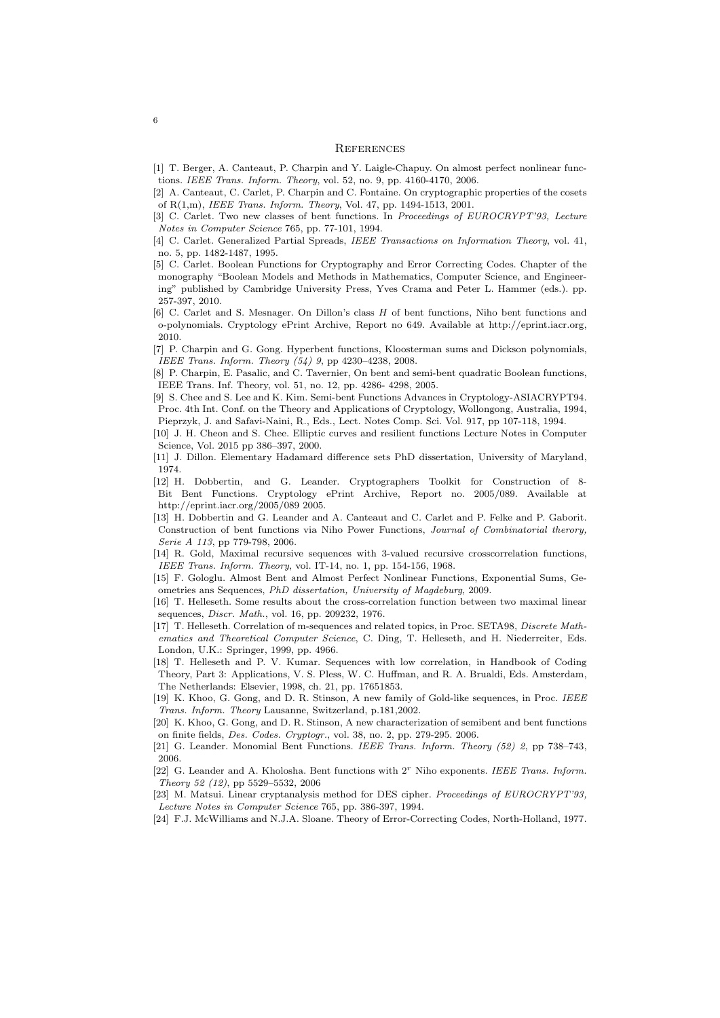#### **REFERENCES**

- [1] T. Berger, A. Canteaut, P. Charpin and Y. Laigle-Chapuy. On almost perfect nonlinear functions. IEEE Trans. Inform. Theory, vol. 52, no. 9, pp. 4160-4170, 2006.
- [2] A. Canteaut, C. Carlet, P. Charpin and C. Fontaine. On cryptographic properties of the cosets of R(1,m), IEEE Trans. Inform. Theory, Vol. 47, pp. 1494-1513, 2001.
- [3] C. Carlet. Two new classes of bent functions. In Proceedings of EUROCRYPT'93, Lecture Notes in Computer Science 765, pp. 77-101, 1994.
- [4] C. Carlet. Generalized Partial Spreads, IEEE Transactions on Information Theory, vol. 41, no. 5, pp. 1482-1487, 1995.
- [5] C. Carlet. Boolean Functions for Cryptography and Error Correcting Codes. Chapter of the monography "Boolean Models and Methods in Mathematics, Computer Science, and Engineering" published by Cambridge University Press, Yves Crama and Peter L. Hammer (eds.). pp. 257-397, 2010.
- [6] C. Carlet and S. Mesnager. On Dillon's class H of bent functions, Niho bent functions and o-polynomials. Cryptology ePrint Archive, Report no 649. Available at http://eprint.iacr.org, 2010.
- [7] P. Charpin and G. Gong. Hyperbent functions, Kloosterman sums and Dickson polynomials, IEEE Trans. Inform. Theory (54) 9, pp 4230–4238, 2008.
- [8] P. Charpin, E. Pasalic, and C. Tavernier, On bent and semi-bent quadratic Boolean functions, IEEE Trans. Inf. Theory, vol. 51, no. 12, pp. 4286- 4298, 2005.
- [9] S. Chee and S. Lee and K. Kim. Semi-bent Functions Advances in Cryptology-ASIACRYPT94. Proc. 4th Int. Conf. on the Theory and Applications of Cryptology, Wollongong, Australia, 1994, Pieprzyk, J. and Safavi-Naini, R., Eds., Lect. Notes Comp. Sci. Vol. 917, pp 107-118, 1994.
- [10] J. H. Cheon and S. Chee. Elliptic curves and resilient functions Lecture Notes in Computer Science, Vol. 2015 pp 386–397, 2000.
- [11] J. Dillon. Elementary Hadamard difference sets PhD dissertation, University of Maryland, 1974.
- [12] H. Dobbertin, and G. Leander. Cryptographers Toolkit for Construction of 8- Bit Bent Functions. Cryptology ePrint Archive, Report no. 2005/089. Available at http://eprint.iacr.org/2005/089 2005.
- [13] H. Dobbertin and G. Leander and A. Canteaut and C. Carlet and P. Felke and P. Gaborit. Construction of bent functions via Niho Power Functions, Journal of Combinatorial therory, Serie A 113, pp 779-798, 2006.
- [14] R. Gold, Maximal recursive sequences with 3-valued recursive crosscorrelation functions, IEEE Trans. Inform. Theory, vol. IT-14, no. 1, pp. 154-156, 1968.
- [15] F. Gologlu. Almost Bent and Almost Perfect Nonlinear Functions, Exponential Sums, Geometries ans Sequences, PhD dissertation, University of Magdeburg, 2009.
- [16] T. Helleseth. Some results about the cross-correlation function between two maximal linear sequences, Discr. Math., vol. 16, pp. 209232, 1976.
- [17] T. Helleseth. Correlation of m-sequences and related topics, in Proc. SETA98, Discrete Mathematics and Theoretical Computer Science, C. Ding, T. Helleseth, and H. Niederreiter, Eds. London, U.K.: Springer, 1999, pp. 4966.
- [18] T. Helleseth and P. V. Kumar. Sequences with low correlation, in Handbook of Coding Theory, Part 3: Applications, V. S. Pless, W. C. Huffman, and R. A. Brualdi, Eds. Amsterdam, The Netherlands: Elsevier, 1998, ch. 21, pp. 17651853.
- [19] K. Khoo, G. Gong, and D. R. Stinson, A new family of Gold-like sequences, in Proc. IEEE Trans. Inform. Theory Lausanne, Switzerland, p.181,2002.
- [20] K. Khoo, G. Gong, and D. R. Stinson, A new characterization of semibent and bent functions on finite fields, Des. Codes. Cryptogr., vol. 38, no. 2, pp. 279-295. 2006.
- [21] G. Leander. Monomial Bent Functions. IEEE Trans. Inform. Theory (52) 2, pp 738–743, 2006.
- [22] G. Leander and A. Kholosha. Bent functions with  $2<sup>r</sup>$  Niho exponents. IEEE Trans. Inform. Theory 52 (12), pp 5529–5532, 2006
- [23] M. Matsui. Linear cryptanalysis method for DES cipher. Proceedings of EUROCRYPT'93, Lecture Notes in Computer Science 765, pp. 386-397, 1994.
- [24] F.J. McWilliams and N.J.A. Sloane. Theory of Error-Correcting Codes, North-Holland, 1977.